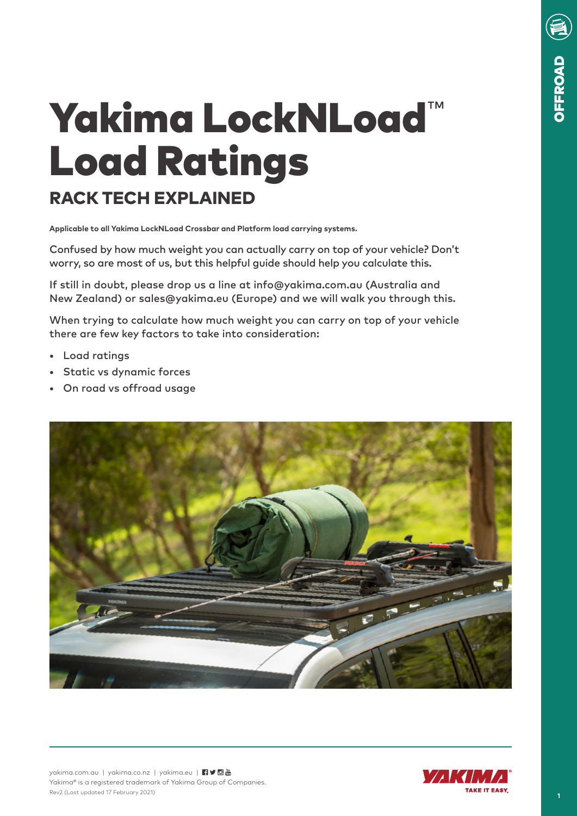# Yakima LockNLoad™ Load Ratings RACK TECH EXPLAINED

**Applicable to all Yakima LockNLoad Crossbar and Platform load carrying systems.** 

Confused by how much weight you can actually carry on top of your vehicle? Don't worry, so are most of us, but this helpful guide should help you calculate this.

If still in doubt, please drop us a line at info@yakima.com.au (Australia and New Zealand) or sales@yakima.eu (Europe) and we will walk you through this.

When trying to calculate how much weight you can carry on top of your vehicle there are few key factors to take into consideration:

- Load ratings
- Static vs dynamic forces
- On road vs offroad usage





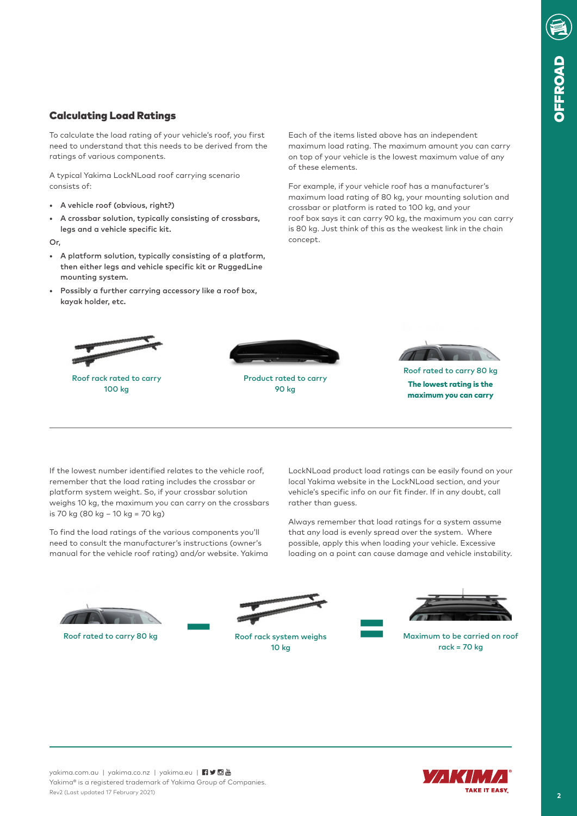## Calculating Load Ratings

To calculate the load rating of your vehicle's roof, you first need to understand that this needs to be derived from the ratings of various components.

A typical Yakima LockNLoad roof carrying scenario consists of:

- A vehicle roof (obvious, right?)
- A crossbar solution, typically consisting of crossbars, legs and a vehicle specific kit.

Or,

- A platform solution, typically consisting of a platform, then either legs and vehicle specific kit or RuggedLine mounting system.
- Possibly a further carrying accessory like a roof box, kayak holder, etc.

Each of the items listed above has an independent maximum load rating. The maximum amount you can carry on top of your vehicle is the lowest maximum value of any of these elements.

For example, if your vehicle roof has a manufacturer's maximum load rating of 80 kg, your mounting solution and crossbar or platform is rated to 100 kg, and your roof box says it can carry 90 kg, the maximum you can carry is 80 kg. Just think of this as the weakest link in the chain concept.



If the lowest number identified relates to the vehicle roof, remember that the load rating includes the crossbar or platform system weight. So, if your crossbar solution weighs 10 kg, the maximum you can carry on the crossbars is 70 kg (80 kg – 10 kg = 70 kg)

To find the load ratings of the various components you'll need to consult the manufacturer's instructions (owner's manual for the vehicle roof rating) and/or website. Yakima LockNLoad product load ratings can be easily found on your local Yakima website in the LockNLoad section, and your vehicle's specific info on our fit finder. If in any doubt, call rather than guess.

Always remember that load ratings for a system assume that any load is evenly spread over the system. Where possible, apply this when loading your vehicle. Excessive loading on a point can cause damage and vehicle instability.





Roof rack system weighs 10 kg



Roof rated to carry 80 kg Maximum to be carried on roof rack system weighs Maximum to be carried on roof rack =  $70$  kg



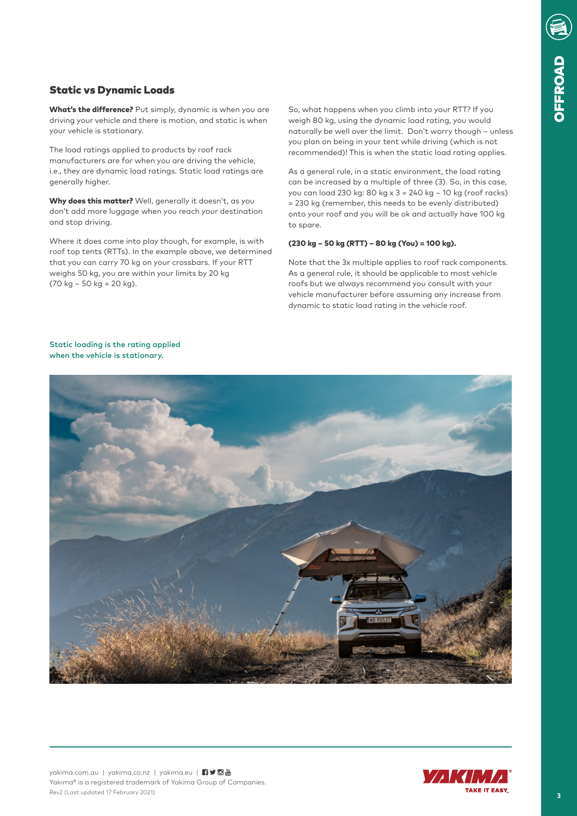## Static vs Dynamic Loads

What's the difference? Put simply, dynamic is when you are driving your vehicle and there is motion, and static is when your vehicle is stationary.

The load ratings applied to products by roof rack manufacturers are for when you are driving the vehicle, i.e., they are dynamic load ratings. Static load ratings are generally higher.

Why does this matter? Well, generally it doesn't, as you don't add more luggage when you reach your destination and stop driving.

Where it does come into play though, for example, is with roof top tents (RTTs). In the example above, we determined that you can carry 70 kg on your crossbars. If your RTT weighs 50 kg, you are within your limits by 20 kg  $(70 \text{ kg} - 50 \text{ kg} = 20 \text{ kg}).$ 

So, what happens when you climb into your RTT? If you weigh 80 kg, using the dynamic load rating, you would naturally be well over the limit. Don't worry though – unless you plan on being in your tent while driving (which is not recommended)! This is when the static load rating applies.

As a general rule, in a static environment, the load rating can be increased by a multiple of three (3). So, in this case, you can load 230 kg: 80 kg x 3 = 240 kg – 10 kg (roof racks) = 230 kg (remember, this needs to be evenly distributed) onto your roof and you will be ok and actually have 100 kg to spare.

#### (230 kg – 50 kg (RTT) – 80 kg (You) = 100 kg).

Note that the 3x multiple applies to roof rack components. As a general rule, it should be applicable to most vehicle roofs but we always recommend you consult with your vehicle manufacturer before assuming any increase from dynamic to static load rating in the vehicle roof.



Static loading is the rating applied when the vehicle is stationary.

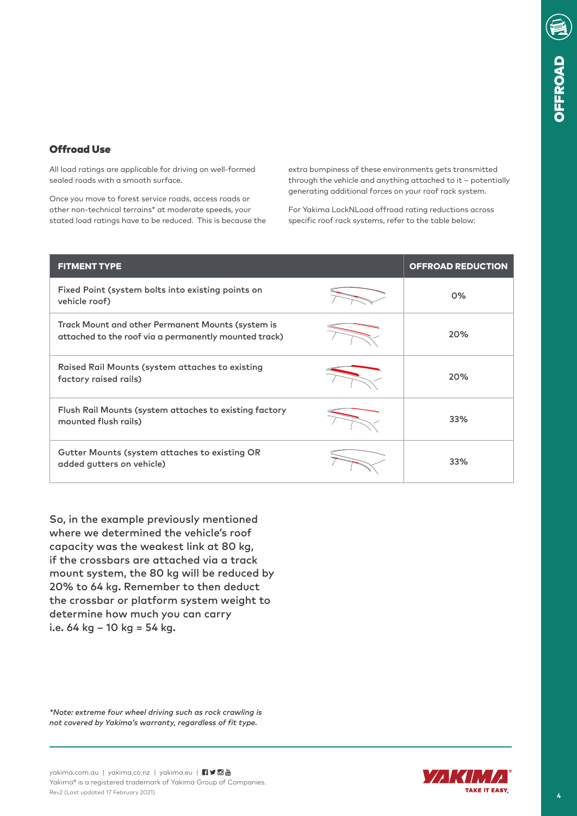## Offroad Use

All load ratings are applicable for driving on well-formed sealed roads with a smooth surface.

Once you move to forest service roads, access roads or other non-technical terrains\* at moderate speeds, your stated load ratings have to be reduced. This is because the extra bumpiness of these environments gets transmitted through the vehicle and anything attached to it – potentially generating additional forces on your roof rack system.

For Yakima LockNLoad offroad rating reductions across specific roof rack systems, refer to the table below:

| <b>FITMENT TYPE</b>                                                                                        | <b>OFFROAD REDUCTION</b> |
|------------------------------------------------------------------------------------------------------------|--------------------------|
| Fixed Point (system bolts into existing points on<br>vehicle roof)                                         | $0\%$                    |
| Track Mount and other Permanent Mounts (system is<br>attached to the roof via a permanently mounted track) | 20%                      |
| Raised Rail Mounts (system attaches to existing<br>factory raised rails)                                   | 20%                      |
| Flush Rail Mounts (system attaches to existing factory<br>mounted flush rails)                             | 33%                      |
| Gutter Mounts (system attaches to existing OR<br>added gutters on vehicle)                                 | 33%                      |

So, in the example previously mentioned where we determined the vehicle's roof capacity was the weakest link at 80 kg, if the crossbars are attached via a track mount system, the 80 kg will be reduced by 20% to 64 kg. Remember to then deduct the crossbar or platform system weight to determine how much you can carry i.e.  $64 \text{ kg} - 10 \text{ kg} = 54 \text{ kg}$ .

*\*Note: extreme four wheel driving such as rock crawling is not covered by Yakima's warranty, regardless of fit type.*